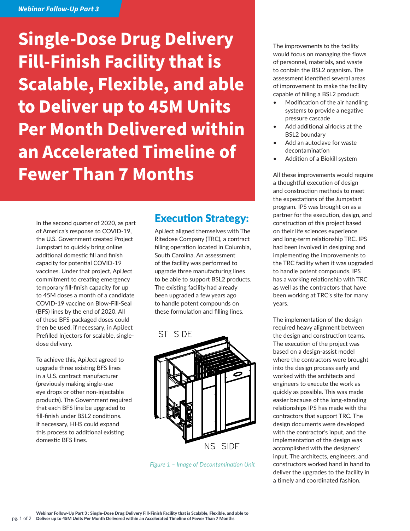## *Webinar Follow-Up Part 3*

**Single-Dose Drug Delivery Fill-Finish Facility that is Scalable, Flexible, and able to Deliver up to 45M Units Per Month Delivered within an Accelerated Timeline of Fewer Than 7 Months**

In the second quarter of 2020, as part of America's response to COVID-19, the U.S. Government created Project Jumpstart to quickly bring online additional domestic fill and finish capacity for potential COVID-19 vaccines. Under that project, ApiJect commitment to creating emergency temporary fill-finish capacity for up to 45M doses a month of a candidate COVID-19 vaccine on Blow-Fill-Seal (BFS) lines by the end of 2020. All of these BFS-packaged doses could then be used, if necessary, in ApiJect Prefilled Injectors for scalable, singledose delivery.

To achieve this, ApiJect agreed to upgrade three existing BFS lines in a U.S. contract manufacturer (previously making single-use eye drops or other non-injectable products). The Government required that each BFS line be upgraded to fill-finish under BSL2 conditions. If necessary, HHS could expand this process to additional existing domestic BFS lines.

## Execution Strategy:

ApiJect aligned themselves with The Ritedose Company (TRC), a contract filling operation located in Columbia, South Carolina. An assessment of the facility was performed to upgrade three manufacturing lines to be able to support BSL2 products. The existing facility had already been upgraded a few years ago to handle potent compounds on these formulation and filling lines.



*Figure 1 – Image of Decontamination Unit*

The improvements to the facility would focus on managing the flows of personnel, materials, and waste to contain the BSL2 organism. The assessment identified several areas of improvement to make the facility capable of filling a BSL2 product:

- Modification of the air handling systems to provide a negative pressure cascade
- Add additional airlocks at the BSL2 boundary
- Add an autoclave for waste decontamination
- Addition of a Biokill system

All these improvements would require a thoughtful execution of design and construction methods to meet the expectations of the Jumpstart program. IPS was brought on as a partner for the execution, design, and construction of this project based on their life sciences experience and long-term relationship TRC. IPS had been involved in designing and implementing the improvements to the TRC facility when it was upgraded to handle potent compounds. IPS has a working relationship with TRC as well as the contractors that have been working at TRC's site for many years.

The implementation of the design required heavy alignment between the design and construction teams. The execution of the project was based on a design-assist model where the contractors were brought into the design process early and worked with the architects and engineers to execute the work as quickly as possible. This was made easier because of the long-standing relationships IPS has made with the contractors that support TRC. The design documents were developed with the contractor's input, and the implementation of the design was accomplished with the designers' input. The architects, engineers, and constructors worked hand in hand to deliver the upgrades to the facility in a timely and coordinated fashion.